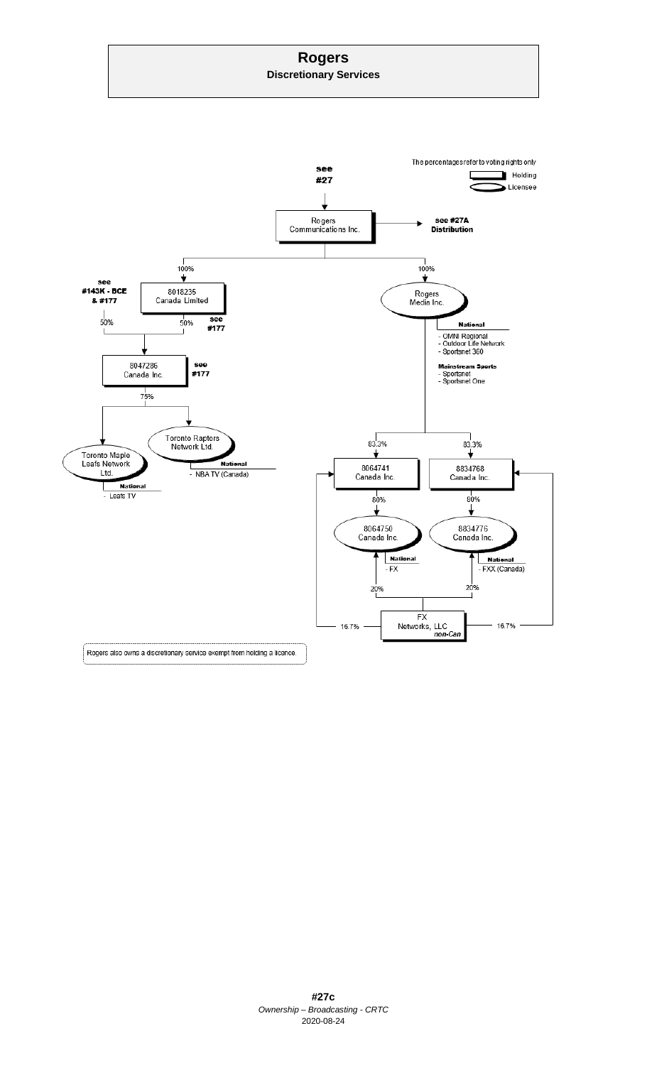# **Rogers**

**Discretionary Services**

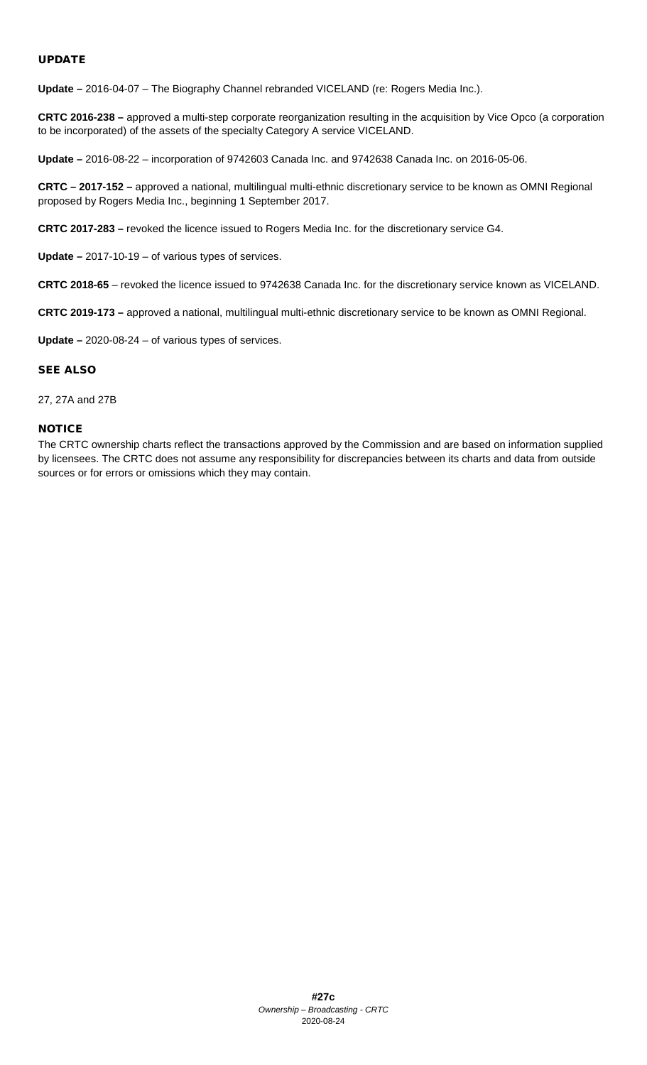## UPDATE

**Update –** 2016-04-07 – The Biography Channel rebranded VICELAND (re: Rogers Media Inc.).

**CRTC 2016-238 –** approved a multi-step corporate reorganization resulting in the acquisition by Vice Opco (a corporation to be incorporated) of the assets of the specialty Category A service VICELAND.

**Update –** 2016-08-22 – incorporation of 9742603 Canada Inc. and 9742638 Canada Inc. on 2016-05-06.

**CRTC – 2017-152 –** approved a national, multilingual multi-ethnic discretionary service to be known as OMNI Regional proposed by Rogers Media Inc., beginning 1 September 2017.

**CRTC 2017-283 –** revoked the licence issued to Rogers Media Inc. for the discretionary service G4.

**Update –** 2017-10-19 – of various types of services.

**CRTC 2018-65** – revoked the licence issued to 9742638 Canada Inc. for the discretionary service known as VICELAND.

**CRTC 2019-173 –** approved a national, multilingual multi-ethnic discretionary service to be known as OMNI Regional.

**Update –** 2020-08-24 – of various types of services.

#### SEE ALSO

#### 27, 27A and 27B

#### **NOTICE**

The CRTC ownership charts reflect the transactions approved by the Commission and are based on information supplied by licensees. The CRTC does not assume any responsibility for discrepancies between its charts and data from outside sources or for errors or omissions which they may contain.